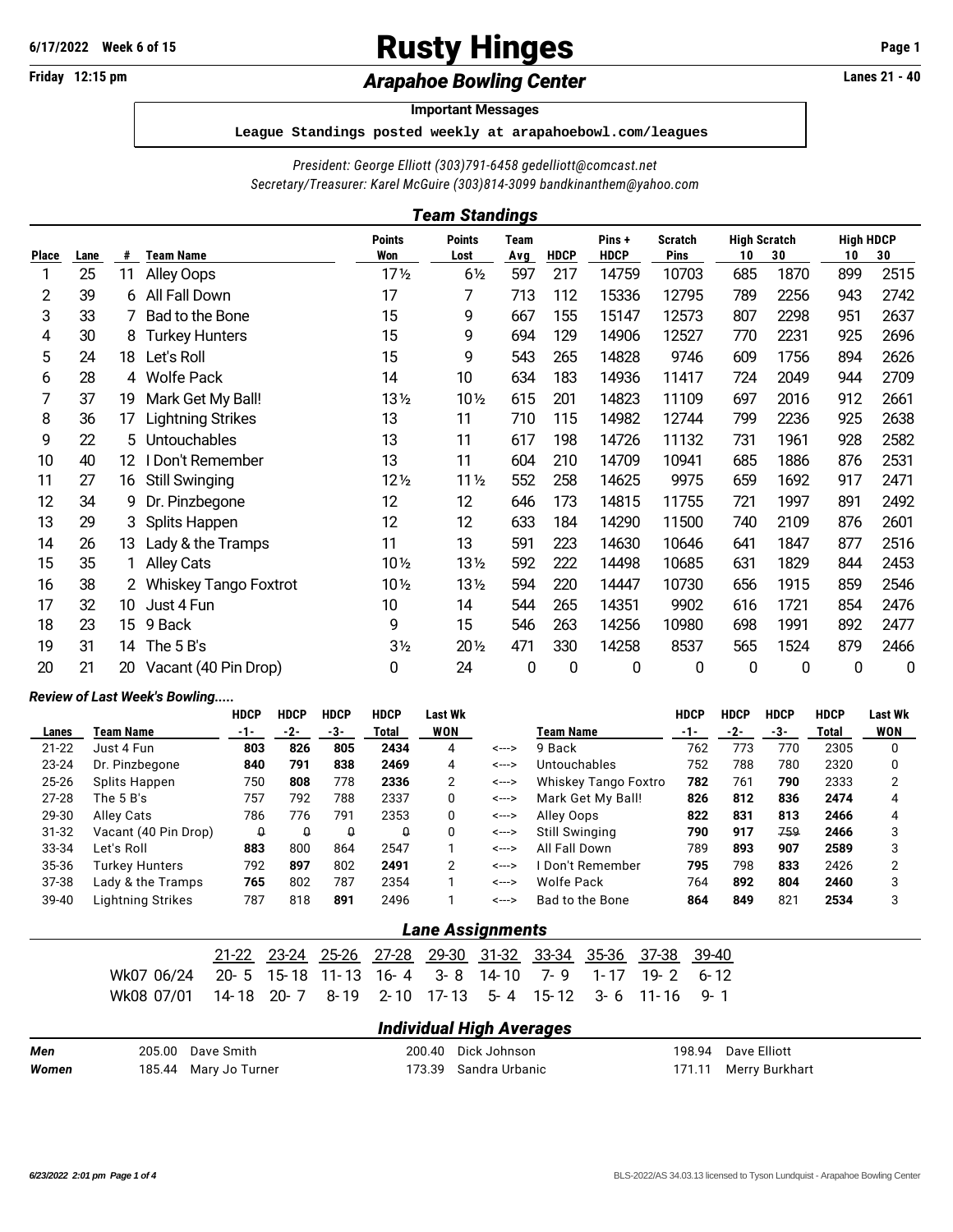# **Rusty Hinges Page 1** Page 1

## Friday 12:15 pm *Arapahoe Bowling Center* **Lanes 21 - 40**

#### **Important Messages**

**League Standings posted weekly at arapahoebowl.com/leagues**

*President: George Elliott (303)791-6458 [gedelliott@comcast.net](mailto:gedelliott@comcast.net)*

*Secretary/Treasurer: Karel McGuire (303)814-3099 [bandkinanthem@yahoo.com](mailto:bandkinanthem@yahoo.com)*

|              | Team Standings |    |                              |                      |                       |                    |             |                      |                               |                           |      |                        |      |
|--------------|----------------|----|------------------------------|----------------------|-----------------------|--------------------|-------------|----------------------|-------------------------------|---------------------------|------|------------------------|------|
| <b>Place</b> | Lane           | #  | <b>Team Name</b>             | <b>Points</b><br>Won | <b>Points</b><br>Lost | <b>Team</b><br>Avg | <b>HDCP</b> | Pins+<br><b>HDCP</b> | <b>Scratch</b><br><b>Pins</b> | <b>High Scratch</b><br>10 | 30   | <b>High HDCP</b><br>10 | 30   |
|              | 25             | 11 | Alley Oops                   | 17 <sub>2</sub>      | $6\frac{1}{2}$        | 597                | 217         | 14759                | 10703                         | 685                       | 1870 | 899                    | 2515 |
| 2            | 39             | 6  | All Fall Down                | 17                   | 7                     | 713                | 112         | 15336                | 12795                         | 789                       | 2256 | 943                    | 2742 |
| 3            | 33             |    | Bad to the Bone              | 15                   | 9                     | 667                | 155         | 15147                | 12573                         | 807                       | 2298 | 951                    | 2637 |
| 4            | 30             | 8  | <b>Turkey Hunters</b>        | 15                   | 9                     | 694                | 129         | 14906                | 12527                         | 770                       | 2231 | 925                    | 2696 |
| 5            | 24             | 18 | Let's Roll                   | 15                   | 9                     | 543                | 265         | 14828                | 9746                          | 609                       | 1756 | 894                    | 2626 |
| 6            | 28             |    | 4 Wolfe Pack                 | 14                   | 10                    | 634                | 183         | 14936                | 11417                         | 724                       | 2049 | 944                    | 2709 |
| 7            | 37             | 19 | Mark Get My Ball!            | 13½                  | $10\frac{1}{2}$       | 615                | 201         | 14823                | 11109                         | 697                       | 2016 | 912                    | 2661 |
| 8            | 36             | 17 | <b>Lightning Strikes</b>     | 13                   | 11                    | 710                | 115         | 14982                | 12744                         | 799                       | 2236 | 925                    | 2638 |
| 9            | 22             | 5  | Untouchables                 | 13                   | 11                    | 617                | 198         | 14726                | 11132                         | 731                       | 1961 | 928                    | 2582 |
| 10           | 40             | 12 | I Don't Remember             | 13                   | 11                    | 604                | 210         | 14709                | 10941                         | 685                       | 1886 | 876                    | 2531 |
| 11           | 27             | 16 | <b>Still Swinging</b>        | $12\frac{1}{2}$      | 11 <sub>2</sub>       | 552                | 258         | 14625                | 9975                          | 659                       | 1692 | 917                    | 2471 |
| 12           | 34             | 9  | Dr. Pinzbegone               | 12                   | 12                    | 646                | 173         | 14815                | 11755                         | 721                       | 1997 | 891                    | 2492 |
| 13           | 29             |    | 3 Splits Happen              | 12                   | 12                    | 633                | 184         | 14290                | 11500                         | 740                       | 2109 | 876                    | 2601 |
| 14           | 26             | 13 | Lady & the Tramps            | 11                   | 13                    | 591                | 223         | 14630                | 10646                         | 641                       | 1847 | 877                    | 2516 |
| 15           | 35             |    | <b>Alley Cats</b>            | 10 1/2               | 13 <sub>2</sub>       | 592                | 222         | 14498                | 10685                         | 631                       | 1829 | 844                    | 2453 |
| 16           | 38             |    | <b>Whiskey Tango Foxtrot</b> | $10\frac{1}{2}$      | 13 <sub>2</sub>       | 594                | 220         | 14447                | 10730                         | 656                       | 1915 | 859                    | 2546 |
| 17           | 32             | 10 | Just 4 Fun                   | 10                   | 14                    | 544                | 265         | 14351                | 9902                          | 616                       | 1721 | 854                    | 2476 |
| 18           | 23             | 15 | 9 Back                       | 9                    | 15                    | 546                | 263         | 14256                | 10980                         | 698                       | 1991 | 892                    | 2477 |
| 19           | 31             | 14 | The 5 B's                    | 3 <sub>2</sub>       | $20\frac{1}{2}$       | 471                | 330         | 14258                | 8537                          | 565                       | 1524 | 879                    | 2466 |
| 20           | 21             | 20 | Vacant (40 Pin Drop)         | 0                    | 24                    | 0                  | 0           | 0                    | 0                             | 0                         | 0    | 0                      | 0    |

#### *Review of Last Week's Bowling.....*

|           |                      | <b>HDCP</b> | <b>HDCP</b> | <b>HDCP</b> | <b>HDCP</b> | <b>Last Wk</b> |       |                      | <b>HDCP</b> | <b>HDCP</b> | <b>HDCP</b> | <b>HDCP</b> | Last Wk    |
|-----------|----------------------|-------------|-------------|-------------|-------------|----------------|-------|----------------------|-------------|-------------|-------------|-------------|------------|
| Lanes     | Team Name            | -1-         | -2-         | -3-         | Total       | <b>WON</b>     |       | Team Name            | -1-         | -2-         | -3-         | Total       | <b>WON</b> |
| $21 - 22$ | Just 4 Fun           | 803         | 826         | 805         | 2434        | 4              | <---> | 9 Back               | 762         | 773         | 770         | 2305        | 0          |
| 23-24     | Dr. Pinzbegone       | 840         | 791         | 838         | 2469        | 4              | <---> | Untouchables         | 752         | 788         | 780         | 2320        | 0          |
| 25-26     | Splits Happen        | 750         | 808         | 778         | 2336        | 2              | <---> | Whiskey Tango Foxtro | 782         | 761         | 790         | 2333        | 2          |
| $27 - 28$ | The $5B$ 's          | 757         | 792         | 788         | 2337        | 0              | <---> | Mark Get My Ball!    | 826         | 812         | 836         | 2474        | 4          |
| 29-30     | Alley Cats           | 786         | 776         | 791         | 2353        | 0              | <---> | Alley Oops           | 822         | 831         | 813         | 2466        | 4          |
| $31 - 32$ | Vacant (40 Pin Drop) | Û           | Q           | $\Omega$    | $\Omega$    | 0              | <---> | Still Swinging       | 790         | 917         | 759         | 2466        | 3          |
| 33-34     | Let's Roll           | 883         | 800         | 864         | 2547        |                | <---> | All Fall Down        | 789         | 893         | 907         | 2589        | 3          |
| 35-36     | Turkey Hunters       | 792         | 897         | 802         | 2491        | 2              | <---> | l Don't Remember     | 795         | 798         | 833         | 2426        | っ          |
| 37-38     | Lady & the Tramps    | 765         | 802         | 787         | 2354        |                | <---> | <b>Wolfe Pack</b>    | 764         | 892         | 804         | 2460        | 3          |
| 39-40     | Lightning Strikes    | 787         | 818         | 891         | 2496        |                | <---> | Bad to the Bone      | 864         | 849         | 821         | 2534        | 3          |

#### *Lane Assignments*

|                                                                          |  |  |  |  | 21-22 23-24 25-26 27-28 29-30 31-32 33-34 35-36 37-38 39-40 |  |
|--------------------------------------------------------------------------|--|--|--|--|-------------------------------------------------------------|--|
| Wk07 06/24  20- 5 15-18 11-13 16- 4  3- 8 14-10  7- 9  1-17 19- 2  6- 12 |  |  |  |  |                                                             |  |
| Wk08 07/01  14-18 20-7  8-19  2-10 17-13  5-4  15-12  3- 6  11-16  9- 1  |  |  |  |  |                                                             |  |

#### *Individual High Averages*

| Men   | 205.00 Dave Smith     | 200.40 Dick Johnson   | 198.94 Dave Elliott   |
|-------|-----------------------|-----------------------|-----------------------|
| Women | 185.44 Mary Jo Turner | 173.39 Sandra Urbanic | 171.11 Merry Burkhart |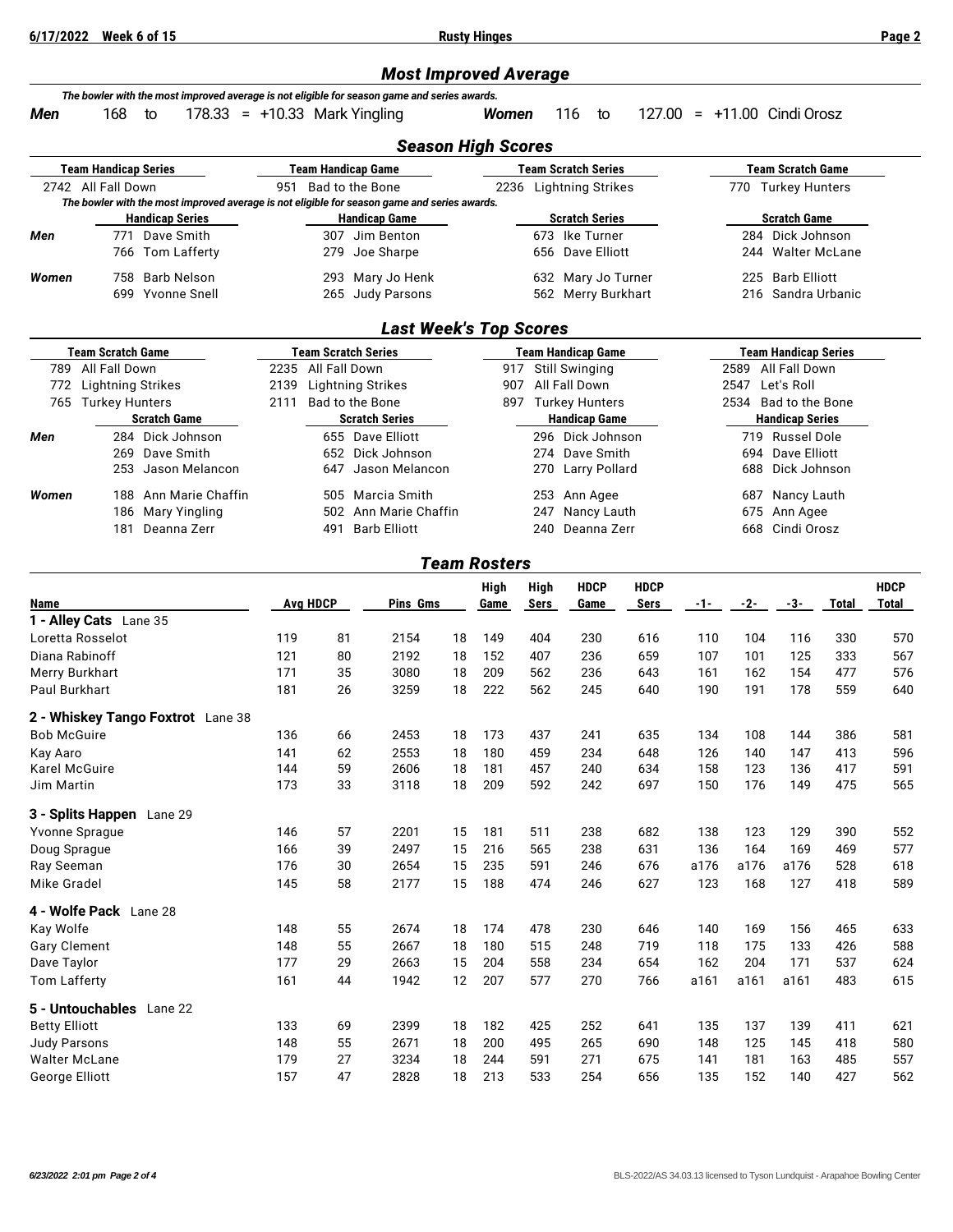**6/17/2022 Week 6 of 15 Rusty Hinges Page 2**

### *Most Improved Average*

| Men                                    | 168                                           | The bowler with the most improved average is not eligible for season game and series awards.<br>$178.33 = +10.33$ Mark Yingling<br>to |                                                  |                           |                                              |          | <b>Women</b>        |              | 116<br>to                                          |                     | $127.00 = +11.00$ Cindi Orosz           |            |                                              |              |                             |
|----------------------------------------|-----------------------------------------------|---------------------------------------------------------------------------------------------------------------------------------------|--------------------------------------------------|---------------------------|----------------------------------------------|----------|---------------------|--------------|----------------------------------------------------|---------------------|-----------------------------------------|------------|----------------------------------------------|--------------|-----------------------------|
|                                        |                                               |                                                                                                                                       |                                                  |                           | <b>Season High Scores</b>                    |          |                     |              |                                                    |                     |                                         |            |                                              |              |                             |
|                                        | <b>Team Handicap Series</b>                   |                                                                                                                                       |                                                  | <b>Team Handicap Game</b> |                                              |          |                     |              | <b>Team Scratch Series</b>                         |                     |                                         |            | <b>Team Scratch Game</b>                     |              |                             |
|                                        | 2742 All Fall Down                            |                                                                                                                                       |                                                  | 951 Bad to the Bone       |                                              |          |                     |              | 2236 Lightning Strikes                             |                     |                                         |            | 770 Turkey Hunters                           |              |                             |
|                                        |                                               | The bowler with the most improved average is not eligible for season game and series awards.                                          |                                                  |                           |                                              |          |                     |              |                                                    |                     |                                         |            |                                              |              |                             |
| Men                                    |                                               | <b>Handicap Series</b><br>771 Dave Smith                                                                                              |                                                  |                           | <b>Handicap Game</b><br>307 Jim Benton       |          |                     |              | <b>Scratch Series</b><br>673 Ike Turner            |                     | <b>Scratch Game</b><br>284 Dick Johnson |            |                                              |              |                             |
|                                        |                                               | 766 Tom Lafferty                                                                                                                      |                                                  | 279                       | Joe Sharpe                                   |          |                     |              | 656 Dave Elliott                                   |                     | <b>Walter McLane</b><br>244             |            |                                              |              |                             |
|                                        |                                               |                                                                                                                                       |                                                  |                           |                                              |          |                     |              |                                                    |                     |                                         |            |                                              |              |                             |
| Women                                  | 758                                           | <b>Barb Nelson</b><br>699 Yvonne Snell                                                                                                |                                                  |                           | 293 Mary Jo Henk<br>265 Judy Parsons         |          |                     |              | 632 Mary Jo Turner<br>562 Merry Burkhart           |                     |                                         | 225<br>216 | <b>Barb Elliott</b><br>Sandra Urbanic        |              |                             |
|                                        |                                               |                                                                                                                                       |                                                  |                           |                                              |          |                     |              |                                                    |                     |                                         |            |                                              |              |                             |
|                                        |                                               |                                                                                                                                       |                                                  |                           | <b>Last Week's Top Scores</b>                |          |                     |              |                                                    |                     |                                         |            |                                              |              |                             |
|                                        | <b>Team Scratch Game</b><br>789 All Fall Down |                                                                                                                                       | <b>Team Scratch Series</b><br>2235 All Fall Down |                           |                                              |          |                     | 917          | <b>Team Handicap Game</b><br><b>Still Swinging</b> |                     |                                         | 2589       | <b>Team Handicap Series</b><br>All Fall Down |              |                             |
| 772                                    | <b>Lightning Strikes</b>                      |                                                                                                                                       | 2139                                             |                           | <b>Lightning Strikes</b>                     |          | 907                 |              | All Fall Down                                      |                     |                                         | 2547       | Let's Roll                                   |              |                             |
|                                        | 765 Turkey Hunters                            |                                                                                                                                       | 2111                                             | Bad to the Bone           |                                              |          |                     |              | 897 Turkey Hunters                                 |                     |                                         | 2534       | Bad to the Bone                              |              |                             |
|                                        |                                               | <b>Scratch Game</b>                                                                                                                   |                                                  |                           | <b>Scratch Series</b>                        |          |                     |              | <b>Handicap Game</b>                               |                     |                                         |            | <b>Handicap Series</b>                       |              |                             |
| Men                                    |                                               | 284 Dick Johnson                                                                                                                      |                                                  |                           | 655 Dave Elliott                             |          |                     |              | 296 Dick Johnson                                   |                     |                                         |            | 719 Russel Dole                              |              |                             |
|                                        | 269<br>253                                    | Dave Smith<br>Jason Melancon                                                                                                          |                                                  | 647                       | 652 Dick Johnson<br>Jason Melancon           |          |                     | 274<br>270   | Dave Smith<br><b>Larry Pollard</b>                 |                     |                                         | 694<br>688 | Dave Elliott<br>Dick Johnson                 |              |                             |
|                                        |                                               |                                                                                                                                       |                                                  |                           |                                              |          |                     |              |                                                    |                     |                                         |            |                                              |              |                             |
| Women                                  | 188                                           | Ann Marie Chaffin                                                                                                                     |                                                  |                           | 505 Marcia Smith                             |          |                     |              | 253 Ann Agee                                       |                     |                                         | 687        | Nancy Lauth                                  |              |                             |
|                                        | 186                                           | <b>Mary Yingling</b><br>181 Deanna Zerr                                                                                               |                                                  | 491                       | 502 Ann Marie Chaffin<br><b>Barb Elliott</b> |          |                     | 247<br>240   | Nancy Lauth<br>Deanna Zerr                         |                     |                                         | 675<br>668 | Ann Agee<br>Cindi Orosz                      |              |                             |
|                                        |                                               |                                                                                                                                       |                                                  |                           |                                              |          |                     |              |                                                    |                     |                                         |            |                                              |              |                             |
|                                        |                                               |                                                                                                                                       |                                                  |                           |                                              |          | <b>Team Rosters</b> |              |                                                    |                     |                                         |            |                                              |              |                             |
| Name                                   |                                               |                                                                                                                                       |                                                  | <b>Avg HDCP</b>           | Pins Gms                                     |          | High<br>Game        | High<br>Sers | <b>HDCP</b><br>Game                                | <b>HDCP</b><br>Sers | -1-                                     | -2-        | -3-                                          | <b>Total</b> | <b>HDCP</b><br><b>Total</b> |
|                                        | 1 - Alley Cats Lane 35                        |                                                                                                                                       |                                                  |                           |                                              |          |                     |              |                                                    |                     |                                         |            |                                              |              |                             |
|                                        | Loretta Rosselot                              |                                                                                                                                       | 119                                              | 81                        | 2154                                         | 18       | 149                 | 404          | 230                                                | 616                 | 110                                     | 104        | 116                                          | 330          | 570                         |
| Diana Rabinoff                         |                                               |                                                                                                                                       | 121                                              | 80                        | 2192                                         | 18       | 152                 | 407          | 236                                                | 659                 | 107                                     | 101        | 125                                          | 333          | 567                         |
| Merry Burkhart                         |                                               |                                                                                                                                       | 171                                              | 35                        | 3080                                         | 18       | 209                 | 562          | 236                                                | 643                 | 161                                     | 162        | 154                                          | 477          | 576                         |
| Paul Burkhart                          |                                               |                                                                                                                                       | 181                                              | 26                        | 3259                                         | 18       | 222                 | 562          | 245                                                | 640                 | 190                                     | 191        | 178                                          | 559          | 640                         |
|                                        |                                               | 2 - Whiskey Tango Foxtrot Lane 38                                                                                                     |                                                  |                           |                                              |          |                     |              |                                                    |                     |                                         |            |                                              |              |                             |
| <b>Bob McGuire</b>                     |                                               |                                                                                                                                       | 136                                              | 66                        | 2453                                         | 18       | 173                 | 437          | 241                                                | 635                 | 134                                     | 108        | 144                                          | 386          | 581                         |
| Kay Aaro                               |                                               |                                                                                                                                       | 141                                              | 62                        | 2553                                         | 18       | 180                 | 459          | 234                                                | 648                 | 126                                     | 140        | 147                                          | 413          | 596                         |
| Karel McGuire<br>Jim Martin            |                                               |                                                                                                                                       | 144<br>173                                       | 59<br>33                  | 2606<br>3118                                 | 18<br>18 | 181<br>209          | 457<br>592   | 240<br>242                                         | 634<br>697          | 158<br>150                              | 123<br>176 | 136<br>149                                   | 417<br>475   | 591<br>565                  |
|                                        |                                               |                                                                                                                                       |                                                  |                           |                                              |          |                     |              |                                                    |                     |                                         |            |                                              |              |                             |
|                                        | 3 - Splits Happen Lane 29                     |                                                                                                                                       |                                                  |                           |                                              |          |                     |              |                                                    |                     |                                         |            |                                              |              |                             |
| Doug Sprague                           | Yvonne Sprague                                |                                                                                                                                       | 146<br>166                                       | 57<br>39                  | 2201<br>2497                                 | 15<br>15 | 181<br>216          | 511<br>565   | 238<br>238                                         | 682<br>631          | 138<br>136                              | 123<br>164 | 129<br>169                                   | 390<br>469   | 552<br>577                  |
| Ray Seeman                             |                                               |                                                                                                                                       | 176                                              | 30                        | 2654                                         | 15       | 235                 | 591          | 246                                                | 676                 | a176                                    | a176       | a176                                         | 528          | 618                         |
| Mike Gradel                            |                                               |                                                                                                                                       | 145                                              | 58                        | 2177                                         | 15       | 188                 | 474          | 246                                                | 627                 | 123                                     | 168        | 127                                          | 418          | 589                         |
|                                        | 4 - Wolfe Pack Lane 28                        |                                                                                                                                       |                                                  |                           |                                              |          |                     |              |                                                    |                     |                                         |            |                                              |              |                             |
| Kay Wolfe                              |                                               |                                                                                                                                       | 148                                              | 55                        | 2674                                         | 18       | 174                 | 478          | 230                                                | 646                 | 140                                     | 169        | 156                                          | 465          | 633                         |
| <b>Gary Clement</b>                    |                                               |                                                                                                                                       | 148                                              | 55                        | 2667                                         | 18       | 180                 | 515          | 248                                                | 719                 | 118                                     | 175        | 133                                          | 426          | 588                         |
| Dave Taylor                            |                                               |                                                                                                                                       | 177                                              | 29                        | 2663                                         | 15       | 204                 | 558          | 234                                                | 654                 | 162                                     | 204        | 171                                          | 537          | 624                         |
| <b>Tom Lafferty</b>                    |                                               |                                                                                                                                       | 161                                              | 44                        | 1942                                         | 12       | 207                 | 577          | 270                                                | 766                 | a161                                    | a161       | a161                                         | 483          | 615                         |
|                                        | 5 - Untouchables Lane 22                      |                                                                                                                                       |                                                  |                           |                                              |          |                     |              |                                                    |                     |                                         |            |                                              |              |                             |
| <b>Betty Elliott</b>                   |                                               |                                                                                                                                       | 133                                              | 69                        | 2399                                         | 18       | 182                 | 425          | 252                                                | 641                 | 135                                     | 137        | 139                                          | 411          | 621                         |
| <b>Judy Parsons</b>                    |                                               |                                                                                                                                       | 148                                              | 55                        | 2671                                         | 18       | 200                 | 495          | 265                                                | 690                 | 148                                     | 125        | 145                                          | 418          | 580                         |
| <b>Walter McLane</b><br>George Elliott |                                               |                                                                                                                                       | 179<br>157                                       | 27<br>47                  | 3234<br>2828                                 | 18<br>18 | 244<br>213          | 591<br>533   | 271<br>254                                         | 675<br>656          | 141<br>135                              | 181<br>152 | 163<br>140                                   | 485<br>427   | 557<br>562                  |
|                                        |                                               |                                                                                                                                       |                                                  |                           |                                              |          |                     |              |                                                    |                     |                                         |            |                                              |              |                             |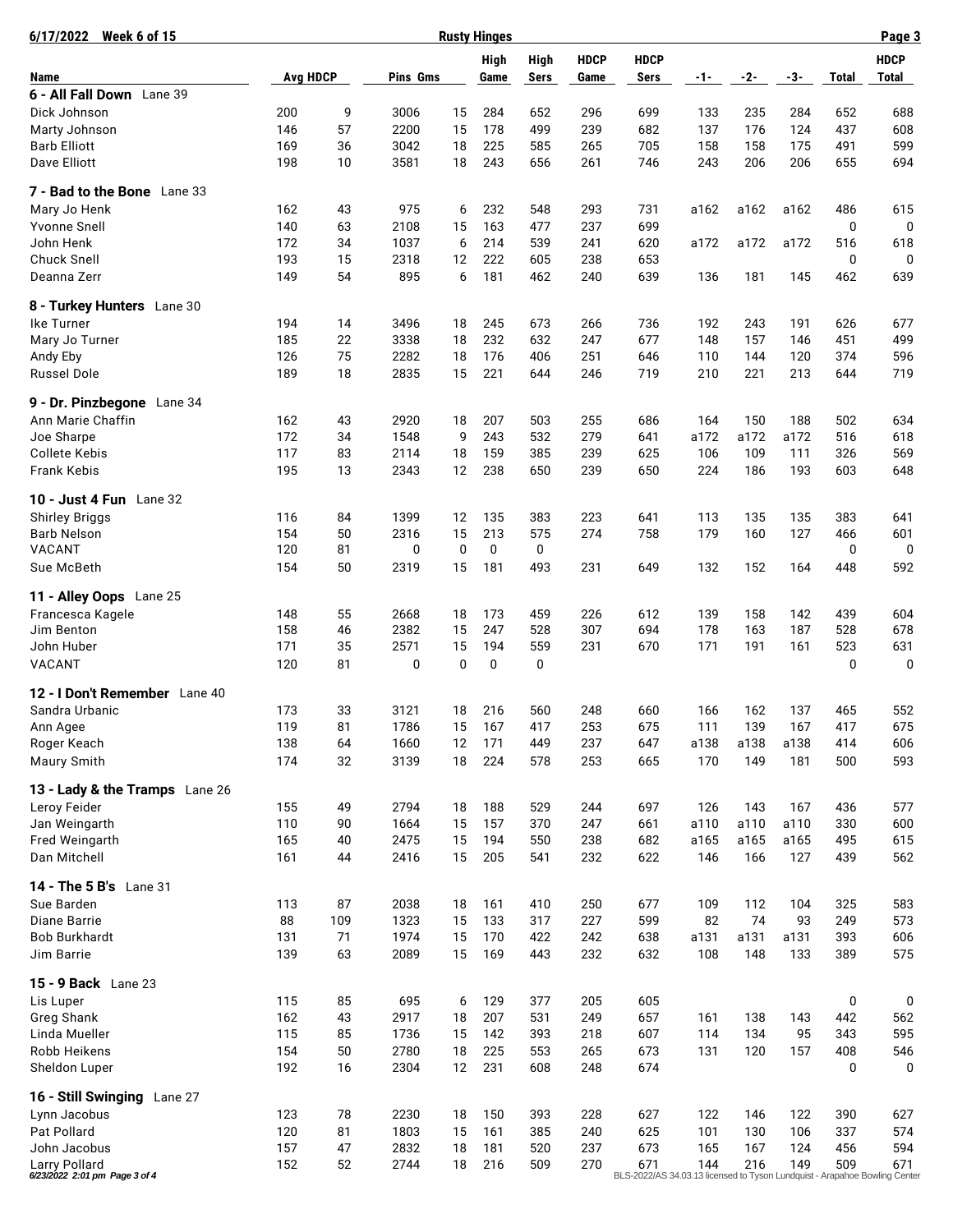| 6/17/2022<br><b>Week 6 of 15</b>                      |                 |          |              |             | <b>Rusty Hinges</b> |             |             |                                                                                   |            |            |           |          | Page 3      |
|-------------------------------------------------------|-----------------|----------|--------------|-------------|---------------------|-------------|-------------|-----------------------------------------------------------------------------------|------------|------------|-----------|----------|-------------|
|                                                       |                 |          |              |             | High                | High        | <b>HDCP</b> | <b>HDCP</b>                                                                       |            |            |           |          | <b>HDCP</b> |
| Name                                                  | <b>Avg HDCP</b> |          | Pins Gms     |             | Game                | Sers        | Game        | Sers                                                                              | $-1-$      | $-2-$      | -3-       | Total    | Total       |
| 6 - All Fall Down Lane 39                             |                 |          |              |             |                     |             |             |                                                                                   |            |            |           |          |             |
| Dick Johnson                                          | 200             | 9        | 3006         | 15          | 284                 | 652         | 296         | 699                                                                               | 133        | 235        | 284       | 652      | 688         |
| Marty Johnson                                         | 146             | 57       | 2200         | 15          | 178                 | 499         | 239         | 682                                                                               | 137        | 176        | 124       | 437      | 608         |
| <b>Barb Elliott</b>                                   | 169             | 36       | 3042         | 18          | 225                 | 585         | 265         | 705                                                                               | 158        | 158        | 175       | 491      | 599         |
| Dave Elliott                                          | 198             | 10       | 3581         | 18          | 243                 | 656         | 261         | 746                                                                               | 243        | 206        | 206       | 655      | 694         |
| 7 - Bad to the Bone Lane 33                           |                 |          |              |             |                     |             |             |                                                                                   |            |            |           |          |             |
| Mary Jo Henk                                          | 162             | 43       | 975          | 6           | 232                 | 548         | 293         | 731                                                                               | a162       | a162       | a162      | 486      | 615         |
| <b>Yvonne Snell</b>                                   | 140             | 63       | 2108         | 15          | 163                 | 477         | 237         | 699                                                                               |            |            |           | 0        | 0           |
| John Henk                                             | 172             | 34       | 1037         | 6           | 214                 | 539         | 241         | 620                                                                               | a172       | a172       | a172      | 516      | 618         |
| <b>Chuck Snell</b>                                    | 193             | 15       | 2318         | 12          | 222                 | 605         | 238         | 653                                                                               |            |            |           | 0        | 0           |
| Deanna Zerr                                           | 149             | 54       | 895          | 6           | 181                 | 462         | 240         | 639                                                                               | 136        | 181        | 145       | 462      | 639         |
| 8 - Turkey Hunters Lane 30                            |                 |          |              |             |                     |             |             |                                                                                   |            |            |           |          |             |
| Ike Turner                                            | 194             | 14       | 3496         | 18          | 245                 | 673         | 266         | 736                                                                               | 192        | 243        | 191       | 626      | 677         |
| Mary Jo Turner                                        | 185             | 22       | 3338         | 18          | 232                 | 632         | 247         | 677                                                                               | 148        | 157        | 146       | 451      | 499         |
| Andy Eby                                              | 126             | 75       | 2282         | 18          | 176                 | 406         | 251         | 646                                                                               | 110        | 144        | 120       | 374      | 596         |
| <b>Russel Dole</b>                                    | 189             | 18       | 2835         | 15          | 221                 | 644         | 246         | 719                                                                               | 210        | 221        | 213       | 644      | 719         |
| 9 - Dr. Pinzbegone Lane 34                            |                 |          |              |             |                     |             |             |                                                                                   |            |            |           |          |             |
| Ann Marie Chaffin                                     | 162             | 43       | 2920         | 18          | 207                 | 503         | 255         | 686                                                                               | 164        | 150        | 188       | 502      | 634         |
| Joe Sharpe                                            | 172             | 34       | 1548         | 9           | 243                 | 532         | 279         | 641                                                                               | a172       | a172       | a172      | 516      | 618         |
| <b>Collete Kebis</b>                                  | 117             | 83       | 2114         | 18          | 159                 | 385         | 239         | 625                                                                               | 106        | 109        | 111       | 326      | 569         |
| Frank Kebis                                           | 195             | 13       | 2343         | 12          | 238                 | 650         | 239         | 650                                                                               | 224        | 186        | 193       | 603      | 648         |
|                                                       |                 |          |              |             |                     |             |             |                                                                                   |            |            |           |          |             |
| 10 - Just 4 Fun Lane 32                               |                 |          |              |             |                     |             |             |                                                                                   |            |            |           |          |             |
| <b>Shirley Briggs</b>                                 | 116             | 84       | 1399         | 12          | 135                 | 383         | 223         | 641                                                                               | 113        | 135        | 135       | 383      | 641         |
| <b>Barb Nelson</b>                                    | 154             | 50       | 2316         | 15          | 213                 | 575         | 274         | 758                                                                               | 179        | 160        | 127       | 466      | 601         |
| VACANT                                                | 120             | 81       | 0            | 0           | 0                   | $\mathbf 0$ |             |                                                                                   |            |            |           | 0        | 0           |
| Sue McBeth                                            | 154             | 50       | 2319         | 15          | 181                 | 493         | 231         | 649                                                                               | 132        | 152        | 164       | 448      | 592         |
| 11 - Alley Oops Lane 25                               |                 |          |              |             |                     |             |             |                                                                                   |            |            |           |          |             |
| Francesca Kagele                                      | 148             | 55       | 2668         | 18          | 173                 | 459         | 226         | 612                                                                               | 139        | 158        | 142       | 439      | 604         |
| Jim Benton                                            | 158             | 46       | 2382         | 15          | 247                 | 528         | 307         | 694                                                                               | 178        | 163        | 187       | 528      | 678         |
| John Huber                                            | 171             | 35       | 2571         | 15          | 194                 | 559         | 231         | 670                                                                               | 171        | 191        | 161       | 523      | 631         |
| VACANT                                                | 120             | 81       | 0            | $\mathbf 0$ | 0                   | 0           |             |                                                                                   |            |            |           | 0        | 0           |
| 12 - I Don't Remember Lane 40                         |                 |          |              |             |                     |             |             |                                                                                   |            |            |           |          |             |
| Sandra Urbanic                                        | 173             | 33       | 3121         | 18          | 216                 | 560         | 248         | 660                                                                               | 166        | 162        | 137       | 465      | 552         |
| Ann Agee                                              | 119             | 81       | 1786         | 15          | 167                 | 417         | 253         | 675                                                                               | 111        | 139        | 167       | 417      | 675         |
| Roger Keach                                           | 138             | 64       | 1660         | 12          | 171                 | 449         | 237         | 647                                                                               | a138       | a138       | a138      | 414      | 606         |
| Maury Smith                                           | 174             | 32       | 3139         | 18          | 224                 | 578         | 253         | 665                                                                               | 170        | 149        | 181       | 500      | 593         |
| 13 - Lady & the Tramps Lane 26                        |                 |          |              |             |                     |             |             |                                                                                   |            |            |           |          |             |
| Leroy Feider                                          | 155             | 49       | 2794         | 18          | 188                 | 529         | 244         | 697                                                                               | 126        | 143        | 167       | 436      | 577         |
| Jan Weingarth                                         | 110             | 90       | 1664         | 15          | 157                 | 370         | 247         | 661                                                                               | a110       | a110       | a110      | 330      | 600         |
| Fred Weingarth                                        | 165             | 40       | 2475         | 15          | 194                 | 550         | 238         | 682                                                                               | a165       | a165       | a165      | 495      | 615         |
| Dan Mitchell                                          | 161             | 44       | 2416         | 15          | 205                 | 541         | 232         | 622                                                                               | 146        | 166        | 127       | 439      | 562         |
| 14 - The 5 B's Lane 31                                |                 |          |              |             |                     |             |             |                                                                                   |            |            |           |          |             |
| Sue Barden                                            | 113             | 87       | 2038         | 18          | 161                 | 410         | 250         | 677                                                                               | 109        | 112        | 104       | 325      | 583         |
| Diane Barrie                                          | 88              | 109      | 1323         | 15          | 133                 | 317         | 227         | 599                                                                               | 82         | 74         | 93        | 249      | 573         |
| <b>Bob Burkhardt</b>                                  | 131             | 71       | 1974         | 15          | 170                 | 422         | 242         | 638                                                                               | a131       | a131       | a131      | 393      | 606         |
| Jim Barrie                                            | 139             | 63       | 2089         | 15          | 169                 | 443         | 232         | 632                                                                               | 108        | 148        | 133       | 389      | 575         |
|                                                       |                 |          |              |             |                     |             |             |                                                                                   |            |            |           |          |             |
| 15 - 9 Back Lane 23                                   |                 |          |              |             |                     |             |             |                                                                                   |            |            |           |          |             |
| Lis Luper                                             | 115             | 85       | 695          | 6<br>18     | 129                 | 377         | 205         | 605                                                                               |            |            |           | 0<br>442 | 0           |
| Greg Shank<br>Linda Mueller                           | 162<br>115      | 43<br>85 | 2917<br>1736 | 15          | 207<br>142          | 531<br>393  | 249<br>218  | 657<br>607                                                                        | 161<br>114 | 138<br>134 | 143<br>95 | 343      | 562<br>595  |
| Robb Heikens                                          | 154             | 50       | 2780         | 18          | 225                 | 553         | 265         | 673                                                                               |            |            | 157       | 408      |             |
| Sheldon Luper                                         | 192             | 16       | 2304         | 12          | 231                 | 608         | 248         | 674                                                                               | 131        | 120        |           | 0        | 546<br>0    |
|                                                       |                 |          |              |             |                     |             |             |                                                                                   |            |            |           |          |             |
| 16 - Still Swinging Lane 27                           |                 |          |              |             |                     |             |             |                                                                                   |            |            |           |          |             |
| Lynn Jacobus                                          | 123             | 78       | 2230         | 18          | 150                 | 393         | 228         | 627                                                                               | 122        | 146        | 122       | 390      | 627         |
| Pat Pollard                                           | 120             | 81       | 1803         | 15          | 161                 | 385         | 240         | 625                                                                               | 101        | 130        | 106       | 337      | 574         |
| John Jacobus                                          | 157             | 47       | 2832         | 18          | 181                 | 520         | 237         | 673                                                                               | 165        | 167        | 124       | 456      | 594         |
| <b>Larry Pollard</b><br>6/23/2022 2:01 pm Page 3 of 4 | 152             | 52       | 2744         | 18          | 216                 | 509         | 270         | 671<br>BLS-2022/AS 34.03.13 licensed to Tyson Lundquist - Arapahoe Bowling Center | 144        | 216        | 149       | 509      | 671         |